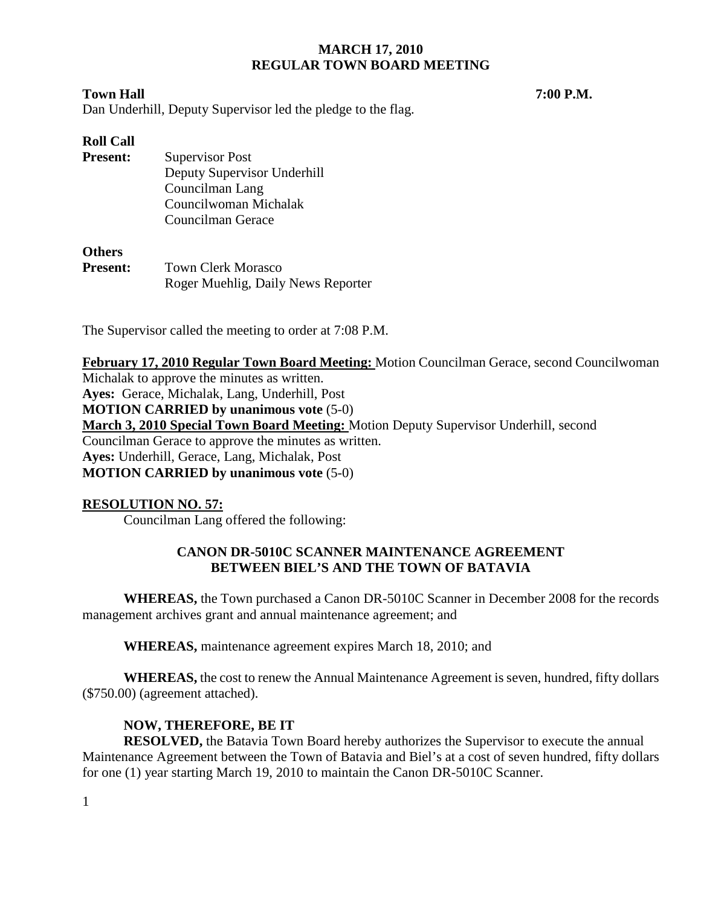### **Town Hall 7:00 P.M.**

Dan Underhill, Deputy Supervisor led the pledge to the flag.

# **Roll Call**

**Present:** Supervisor Post Deputy Supervisor Underhill Councilman Lang Councilwoman Michalak Councilman Gerace

## **Others**

| <b>Present:</b> | <b>Town Clerk Morasco</b>          |
|-----------------|------------------------------------|
|                 | Roger Muehlig, Daily News Reporter |

The Supervisor called the meeting to order at 7:08 P.M.

**February 17, 2010 Regular Town Board Meeting:** Motion Councilman Gerace, second Councilwoman Michalak to approve the minutes as written. **Ayes:** Gerace, Michalak, Lang, Underhill, Post **MOTION CARRIED by unanimous vote** (5-0) **March 3, 2010 Special Town Board Meeting:** Motion Deputy Supervisor Underhill, second Councilman Gerace to approve the minutes as written. **Ayes:** Underhill, Gerace, Lang, Michalak, Post **MOTION CARRIED by unanimous vote** (5-0)

# **RESOLUTION NO. 57:**

Councilman Lang offered the following:

## **CANON DR-5010C SCANNER MAINTENANCE AGREEMENT BETWEEN BIEL'S AND THE TOWN OF BATAVIA**

**WHEREAS,** the Town purchased a Canon DR-5010C Scanner in December 2008 for the records management archives grant and annual maintenance agreement; and

**WHEREAS,** maintenance agreement expires March 18, 2010; and

**WHEREAS,** the cost to renew the Annual Maintenance Agreement is seven, hundred, fifty dollars (\$750.00) (agreement attached).

# **NOW, THEREFORE, BE IT**

**RESOLVED,** the Batavia Town Board hereby authorizes the Supervisor to execute the annual Maintenance Agreement between the Town of Batavia and Biel's at a cost of seven hundred, fifty dollars for one (1) year starting March 19, 2010 to maintain the Canon DR-5010C Scanner.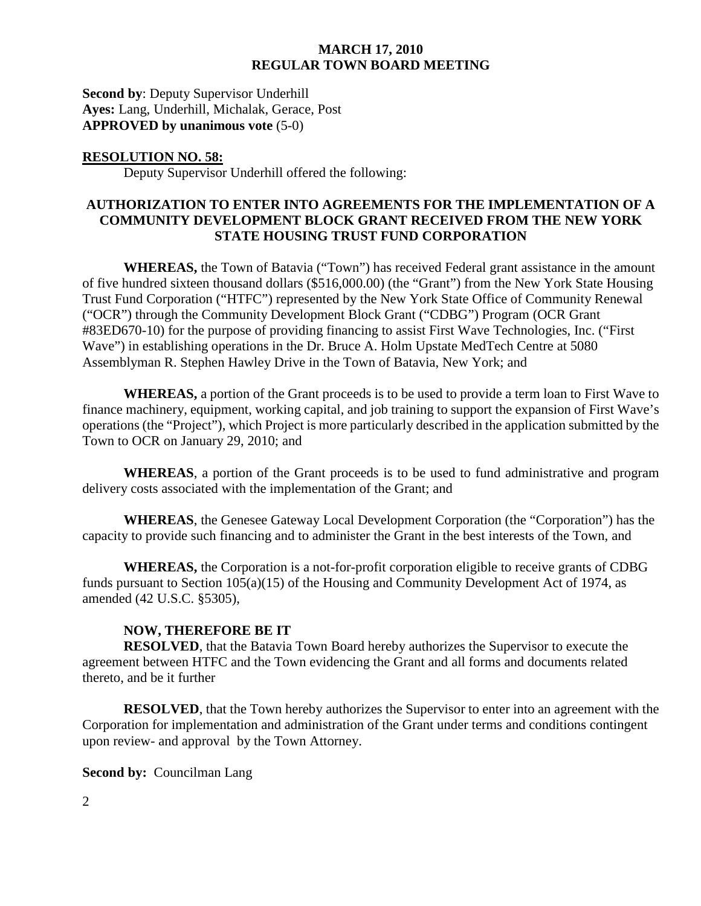**Second by**: Deputy Supervisor Underhill **Ayes:** Lang, Underhill, Michalak, Gerace, Post **APPROVED by unanimous vote** (5-0)

#### **RESOLUTION NO. 58:**

Deputy Supervisor Underhill offered the following:

### **AUTHORIZATION TO ENTER INTO AGREEMENTS FOR THE IMPLEMENTATION OF A COMMUNITY DEVELOPMENT BLOCK GRANT RECEIVED FROM THE NEW YORK STATE HOUSING TRUST FUND CORPORATION**

**WHEREAS,** the Town of Batavia ("Town") has received Federal grant assistance in the amount of five hundred sixteen thousand dollars (\$516,000.00) (the "Grant") from the New York State Housing Trust Fund Corporation ("HTFC") represented by the New York State Office of Community Renewal ("OCR") through the Community Development Block Grant ("CDBG") Program (OCR Grant #83ED670-10) for the purpose of providing financing to assist First Wave Technologies, Inc. ("First Wave") in establishing operations in the Dr. Bruce A. Holm Upstate MedTech Centre at 5080 Assemblyman R. Stephen Hawley Drive in the Town of Batavia, New York; and

**WHEREAS,** a portion of the Grant proceeds is to be used to provide a term loan to First Wave to finance machinery, equipment, working capital, and job training to support the expansion of First Wave's operations (the "Project"), which Project is more particularly described in the application submitted by the Town to OCR on January 29, 2010; and

**WHEREAS**, a portion of the Grant proceeds is to be used to fund administrative and program delivery costs associated with the implementation of the Grant; and

**WHEREAS**, the Genesee Gateway Local Development Corporation (the "Corporation") has the capacity to provide such financing and to administer the Grant in the best interests of the Town, and

**WHEREAS,** the Corporation is a not-for-profit corporation eligible to receive grants of CDBG funds pursuant to Section 105(a)(15) of the Housing and Community Development Act of 1974, as amended (42 U.S.C. §5305),

#### **NOW, THEREFORE BE IT**

**RESOLVED**, that the Batavia Town Board hereby authorizes the Supervisor to execute the agreement between HTFC and the Town evidencing the Grant and all forms and documents related thereto, and be it further

**RESOLVED**, that the Town hereby authorizes the Supervisor to enter into an agreement with the Corporation for implementation and administration of the Grant under terms and conditions contingent upon review- and approval by the Town Attorney.

**Second by: Councilman Lang**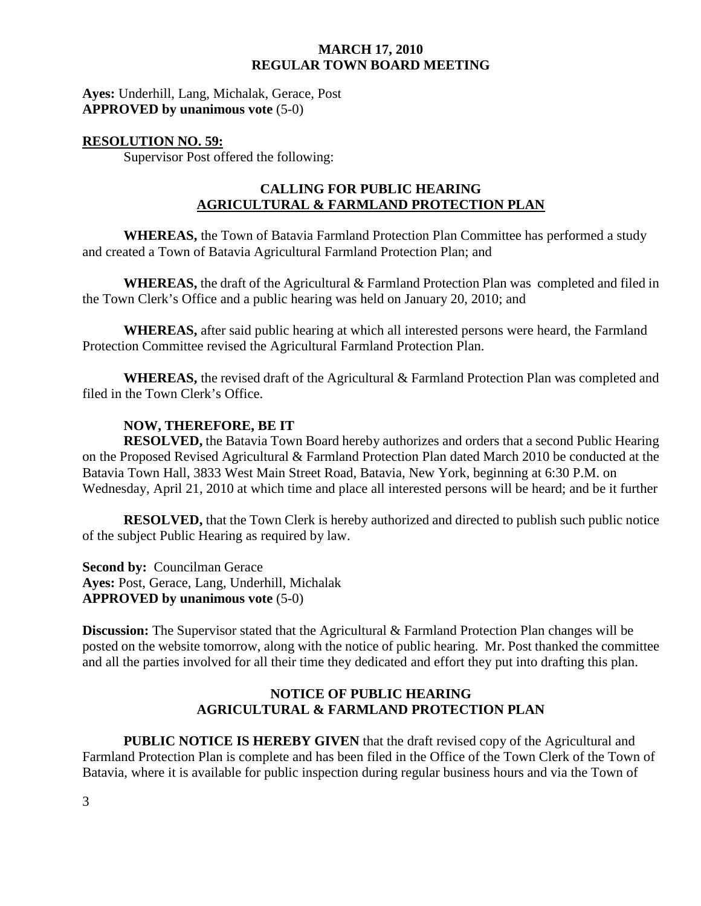**Ayes:** Underhill, Lang, Michalak, Gerace, Post **APPROVED by unanimous vote** (5-0)

### **RESOLUTION NO. 59:**

Supervisor Post offered the following:

# **CALLING FOR PUBLIC HEARING AGRICULTURAL & FARMLAND PROTECTION PLAN**

**WHEREAS,** the Town of Batavia Farmland Protection Plan Committee has performed a study and created a Town of Batavia Agricultural Farmland Protection Plan; and

**WHEREAS,** the draft of the Agricultural & Farmland Protection Plan was completed and filed in the Town Clerk's Office and a public hearing was held on January 20, 2010; and

**WHEREAS,** after said public hearing at which all interested persons were heard, the Farmland Protection Committee revised the Agricultural Farmland Protection Plan.

**WHEREAS,** the revised draft of the Agricultural & Farmland Protection Plan was completed and filed in the Town Clerk's Office.

### **NOW, THEREFORE, BE IT**

**RESOLVED,** the Batavia Town Board hereby authorizes and orders that a second Public Hearing on the Proposed Revised Agricultural & Farmland Protection Plan dated March 2010 be conducted at the Batavia Town Hall, 3833 West Main Street Road, Batavia, New York, beginning at 6:30 P.M. on Wednesday, April 21, 2010 at which time and place all interested persons will be heard; and be it further

**RESOLVED,** that the Town Clerk is hereby authorized and directed to publish such public notice of the subject Public Hearing as required by law.

**Second by: Councilman Gerace Ayes:** Post, Gerace, Lang, Underhill, Michalak **APPROVED by unanimous vote** (5-0)

**Discussion:** The Supervisor stated that the Agricultural & Farmland Protection Plan changes will be posted on the website tomorrow, along with the notice of public hearing. Mr. Post thanked the committee and all the parties involved for all their time they dedicated and effort they put into drafting this plan.

## **NOTICE OF PUBLIC HEARING AGRICULTURAL & FARMLAND PROTECTION PLAN**

**PUBLIC NOTICE IS HEREBY GIVEN** that the draft revised copy of the Agricultural and Farmland Protection Plan is complete and has been filed in the Office of the Town Clerk of the Town of Batavia, where it is available for public inspection during regular business hours and via the Town of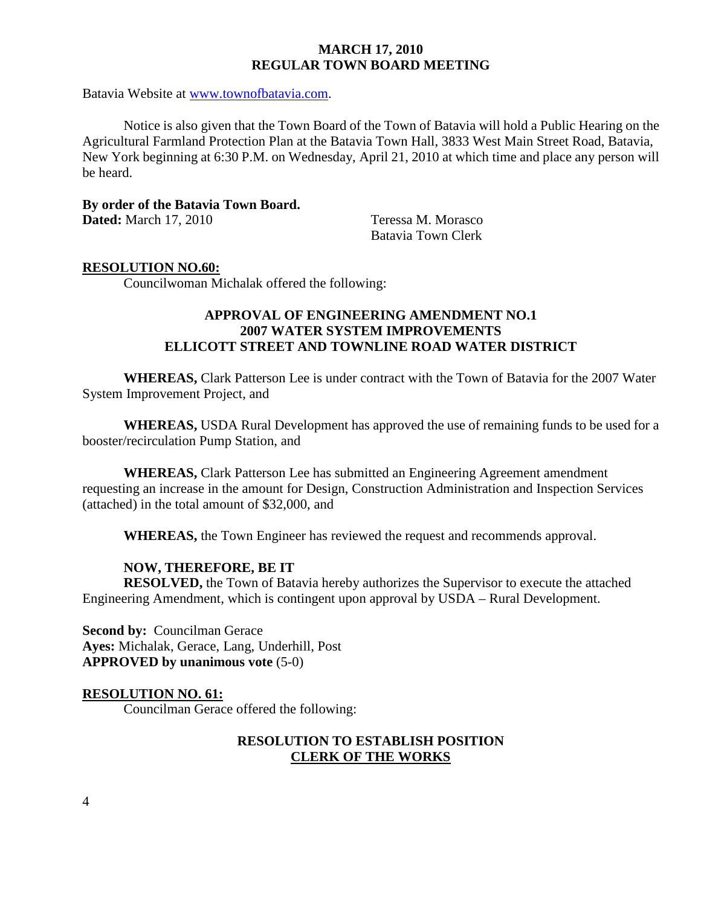Batavia Website at www.townofbatavia.com.

Notice is also given that the Town Board of the Town of Batavia will hold a Public Hearing on the Agricultural Farmland Protection Plan at the Batavia Town Hall, 3833 West Main Street Road, Batavia, New York beginning at 6:30 P.M. on Wednesday, April 21, 2010 at which time and place any person will be heard.

**By order of the Batavia Town Board. Dated:** March 17, 2010 Teressa M. Morasco

Batavia Town Clerk

#### **RESOLUTION NO.60:**

Councilwoman Michalak offered the following:

# **APPROVAL OF ENGINEERING AMENDMENT NO.1 2007 WATER SYSTEM IMPROVEMENTS ELLICOTT STREET AND TOWNLINE ROAD WATER DISTRICT**

**WHEREAS,** Clark Patterson Lee is under contract with the Town of Batavia for the 2007 Water System Improvement Project, and

**WHEREAS,** USDA Rural Development has approved the use of remaining funds to be used for a booster/recirculation Pump Station, and

**WHEREAS,** Clark Patterson Lee has submitted an Engineering Agreement amendment requesting an increase in the amount for Design, Construction Administration and Inspection Services (attached) in the total amount of \$32,000, and

**WHEREAS,** the Town Engineer has reviewed the request and recommends approval.

### **NOW, THEREFORE, BE IT**

**RESOLVED,** the Town of Batavia hereby authorizes the Supervisor to execute the attached Engineering Amendment, which is contingent upon approval by USDA – Rural Development.

**Second by: Councilman Gerace Ayes:** Michalak, Gerace, Lang, Underhill, Post **APPROVED by unanimous vote** (5-0)

#### **RESOLUTION NO. 61:**

Councilman Gerace offered the following:

### **RESOLUTION TO ESTABLISH POSITION CLERK OF THE WORKS**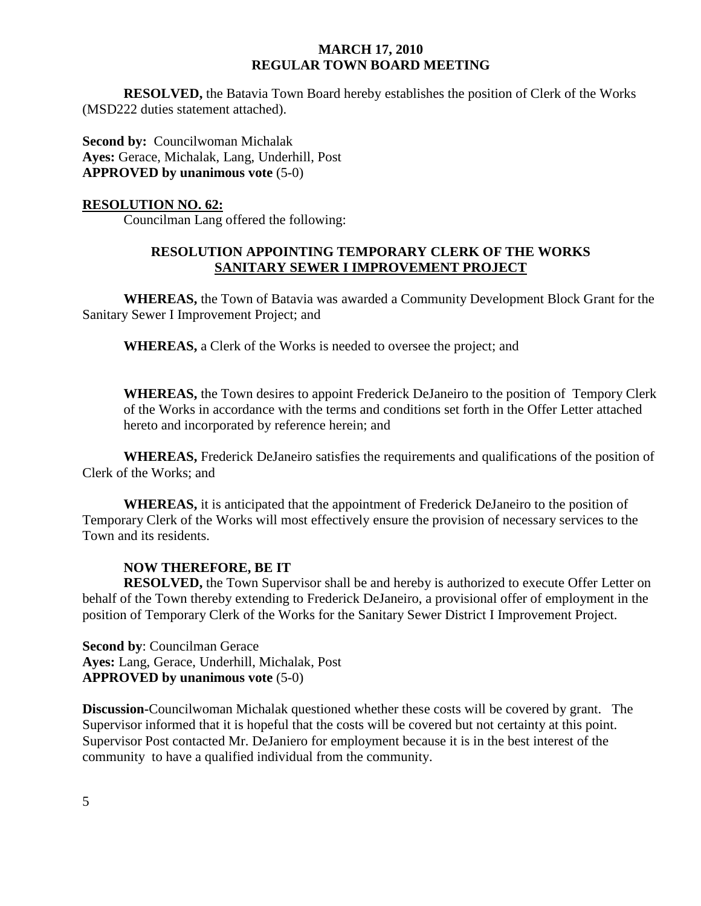**RESOLVED,** the Batavia Town Board hereby establishes the position of Clerk of the Works (MSD222 duties statement attached).

**Second by: Councilwoman Michalak Ayes:** Gerace, Michalak, Lang, Underhill, Post **APPROVED by unanimous vote** (5-0)

#### **RESOLUTION NO. 62:**

Councilman Lang offered the following:

### **RESOLUTION APPOINTING TEMPORARY CLERK OF THE WORKS SANITARY SEWER I IMPROVEMENT PROJECT**

 **WHEREAS,** the Town of Batavia was awarded a Community Development Block Grant for the Sanitary Sewer I Improvement Project; and

**WHEREAS,** a Clerk of the Works is needed to oversee the project; and

**WHEREAS,** the Town desires to appoint Frederick DeJaneiro to the position of Tempory Clerk of the Works in accordance with the terms and conditions set forth in the Offer Letter attached hereto and incorporated by reference herein; and

**WHEREAS,** Frederick DeJaneiro satisfies the requirements and qualifications of the position of Clerk of the Works; and

**WHEREAS,** it is anticipated that the appointment of Frederick DeJaneiro to the position of Temporary Clerk of the Works will most effectively ensure the provision of necessary services to the Town and its residents.

### **NOW THEREFORE, BE IT**

**RESOLVED,** the Town Supervisor shall be and hereby is authorized to execute Offer Letter on behalf of the Town thereby extending to Frederick DeJaneiro, a provisional offer of employment in the position of Temporary Clerk of the Works for the Sanitary Sewer District I Improvement Project.

**Second by**: Councilman Gerace **Ayes:** Lang, Gerace, Underhill, Michalak, Post **APPROVED by unanimous vote** (5-0)

**Discussion-**Councilwoman Michalak questioned whether these costs will be covered by grant. The Supervisor informed that it is hopeful that the costs will be covered but not certainty at this point. Supervisor Post contacted Mr. DeJaniero for employment because it is in the best interest of the community to have a qualified individual from the community.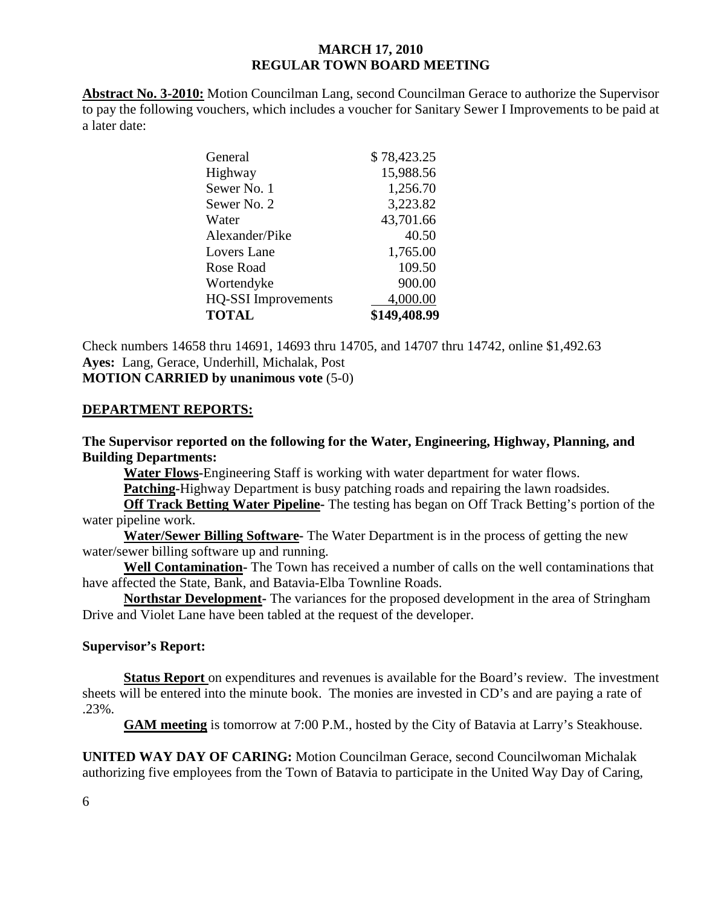**Abstract No. 3-2010:** Motion Councilman Lang, second Councilman Gerace to authorize the Supervisor to pay the following vouchers, which includes a voucher for Sanitary Sewer I Improvements to be paid at a later date:

| General                    | \$78,423.25  |
|----------------------------|--------------|
| Highway                    | 15,988.56    |
| Sewer No. 1                | 1,256.70     |
| Sewer No. 2                | 3,223.82     |
| Water                      | 43,701.66    |
| Alexander/Pike             | 40.50        |
| Lovers Lane                | 1,765.00     |
| Rose Road                  | 109.50       |
| Wortendyke                 | 900.00       |
| <b>HQ-SSI</b> Improvements | 4,000.00     |
| <b>TOTAL</b>               | \$149,408.99 |

Check numbers 14658 thru 14691, 14693 thru 14705, and 14707 thru 14742, online \$1,492.63 **Ayes:** Lang, Gerace, Underhill, Michalak, Post **MOTION CARRIED by unanimous vote** (5-0)

#### **DEPARTMENT REPORTS:**

**The Supervisor reported on the following for the Water, Engineering, Highway, Planning, and Building Departments:** 

**Water Flows-**Engineering Staff is working with water department for water flows.

**Patching-**Highway Department is busy patching roads and repairing the lawn roadsides.

**Off Track Betting Water Pipeline-** The testing has began on Off Track Betting's portion of the water pipeline work.

**Water/Sewer Billing Software-** The Water Department is in the process of getting the new water/sewer billing software up and running.

**Well Contamination-** The Town has received a number of calls on the well contaminations that have affected the State, Bank, and Batavia-Elba Townline Roads.

**Northstar Development-** The variances for the proposed development in the area of Stringham Drive and Violet Lane have been tabled at the request of the developer.

#### **Supervisor's Report:**

**Status Report** on expenditures and revenues is available for the Board's review. The investment sheets will be entered into the minute book. The monies are invested in CD's and are paying a rate of .23%.

**GAM meeting** is tomorrow at 7:00 P.M., hosted by the City of Batavia at Larry's Steakhouse.

**UNITED WAY DAY OF CARING:** Motion Councilman Gerace, second Councilwoman Michalak authorizing five employees from the Town of Batavia to participate in the United Way Day of Caring,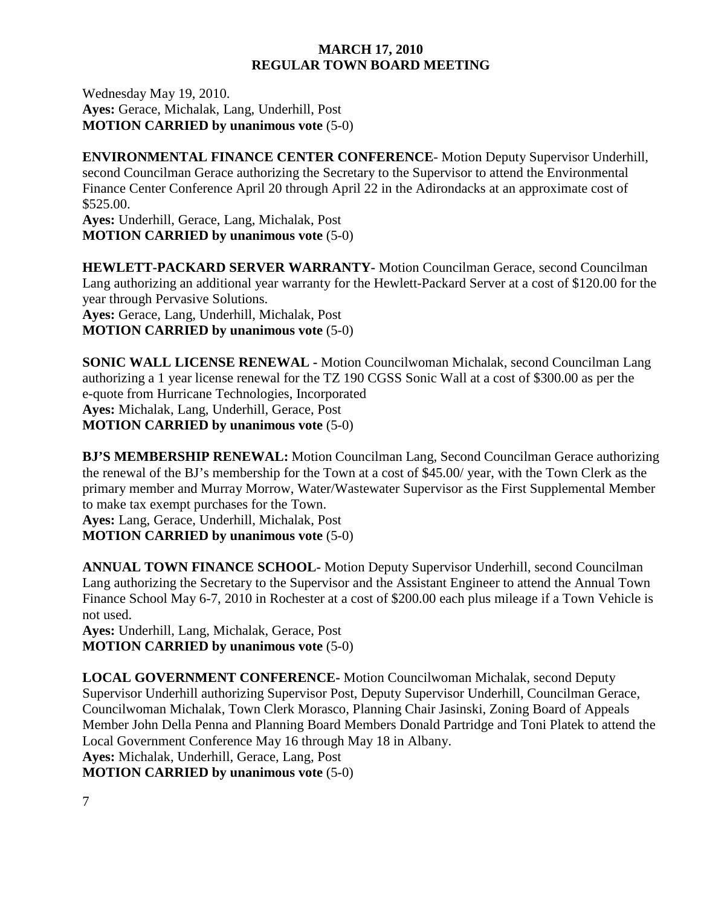Wednesday May 19, 2010. **Ayes:** Gerace, Michalak, Lang, Underhill, Post **MOTION CARRIED by unanimous vote** (5-0)

**ENVIRONMENTAL FINANCE CENTER CONFERENCE**- Motion Deputy Supervisor Underhill, second Councilman Gerace authorizing the Secretary to the Supervisor to attend the Environmental Finance Center Conference April 20 through April 22 in the Adirondacks at an approximate cost of \$525.00.

**Ayes:** Underhill, Gerace, Lang, Michalak, Post **MOTION CARRIED by unanimous vote** (5-0)

**HEWLETT-PACKARD SERVER WARRANTY-** Motion Councilman Gerace, second Councilman Lang authorizing an additional year warranty for the Hewlett-Packard Server at a cost of \$120.00 for the year through Pervasive Solutions. **Ayes:** Gerace, Lang, Underhill, Michalak, Post

**MOTION CARRIED by unanimous vote** (5-0)

**SONIC WALL LICENSE RENEWAL -** Motion Councilwoman Michalak, second Councilman Lang authorizing a 1 year license renewal for the TZ 190 CGSS Sonic Wall at a cost of \$300.00 as per the e-quote from Hurricane Technologies, Incorporated **Ayes:** Michalak, Lang, Underhill, Gerace, Post **MOTION CARRIED by unanimous vote** (5-0)

**BJ'S MEMBERSHIP RENEWAL:** Motion Councilman Lang, Second Councilman Gerace authorizing the renewal of the BJ's membership for the Town at a cost of \$45.00/ year, with the Town Clerk as the primary member and Murray Morrow, Water/Wastewater Supervisor as the First Supplemental Member to make tax exempt purchases for the Town.

**Ayes:** Lang, Gerace, Underhill, Michalak, Post **MOTION CARRIED by unanimous vote** (5-0)

**ANNUAL TOWN FINANCE SCHOOL-** Motion Deputy Supervisor Underhill, second Councilman Lang authorizing the Secretary to the Supervisor and the Assistant Engineer to attend the Annual Town Finance School May 6-7, 2010 in Rochester at a cost of \$200.00 each plus mileage if a Town Vehicle is not used.

**Ayes:** Underhill, Lang, Michalak, Gerace, Post **MOTION CARRIED by unanimous vote** (5-0)

**LOCAL GOVERNMENT CONFERENCE-** Motion Councilwoman Michalak, second Deputy Supervisor Underhill authorizing Supervisor Post, Deputy Supervisor Underhill, Councilman Gerace, Councilwoman Michalak, Town Clerk Morasco, Planning Chair Jasinski, Zoning Board of Appeals Member John Della Penna and Planning Board Members Donald Partridge and Toni Platek to attend the Local Government Conference May 16 through May 18 in Albany. **Ayes:** Michalak, Underhill, Gerace, Lang, Post

**MOTION CARRIED by unanimous vote** (5-0)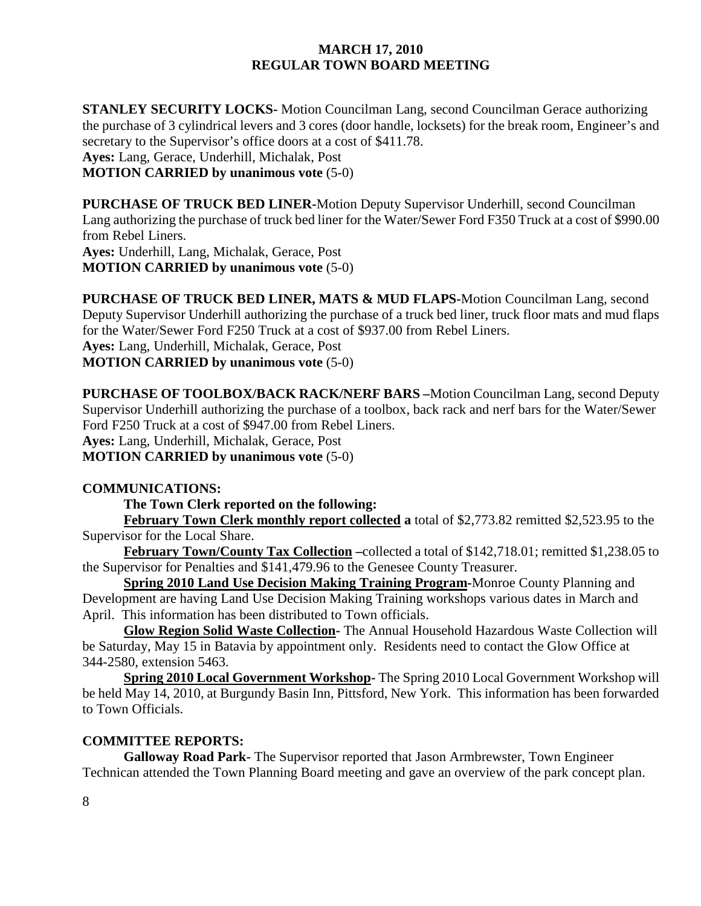**STANLEY SECURITY LOCKS-** Motion Councilman Lang, second Councilman Gerace authorizing the purchase of 3 cylindrical levers and 3 cores (door handle, locksets) for the break room, Engineer's and secretary to the Supervisor's office doors at a cost of \$411.78. **Ayes:** Lang, Gerace, Underhill, Michalak, Post **MOTION CARRIED by unanimous vote** (5-0)

**PURCHASE OF TRUCK BED LINER-**Motion Deputy Supervisor Underhill, second Councilman Lang authorizing the purchase of truck bed liner for the Water/Sewer Ford F350 Truck at a cost of \$990.00 from Rebel Liners.

**Ayes:** Underhill, Lang, Michalak, Gerace, Post **MOTION CARRIED by unanimous vote** (5-0)

**PURCHASE OF TRUCK BED LINER, MATS & MUD FLAPS-**Motion Councilman Lang, second Deputy Supervisor Underhill authorizing the purchase of a truck bed liner, truck floor mats and mud flaps for the Water/Sewer Ford F250 Truck at a cost of \$937.00 from Rebel Liners. **Ayes:** Lang, Underhill, Michalak, Gerace, Post **MOTION CARRIED by unanimous vote** (5-0)

**PURCHASE OF TOOLBOX/BACK RACK/NERF BARS –**Motion Councilman Lang, second Deputy Supervisor Underhill authorizing the purchase of a toolbox, back rack and nerf bars for the Water/Sewer Ford F250 Truck at a cost of \$947.00 from Rebel Liners. **Ayes:** Lang, Underhill, Michalak, Gerace, Post **MOTION CARRIED by unanimous vote** (5-0)

### **COMMUNICATIONS:**

 **The Town Clerk reported on the following:** 

**February Town Clerk monthly report collected a** total of \$2,773.82 remitted \$2,523.95 to the Supervisor for the Local Share.

**February Town/County Tax Collection –**collected a total of \$142,718.01; remitted \$1,238.05 to the Supervisor for Penalties and \$141,479.96 to the Genesee County Treasurer.

**Spring 2010 Land Use Decision Making Training Program-**Monroe County Planning and Development are having Land Use Decision Making Training workshops various dates in March and April. This information has been distributed to Town officials.

**Glow Region Solid Waste Collection-** The Annual Household Hazardous Waste Collection will be Saturday, May 15 in Batavia by appointment only. Residents need to contact the Glow Office at 344-2580, extension 5463.

**Spring 2010 Local Government Workshop-** The Spring 2010 Local Government Workshop will be held May 14, 2010, at Burgundy Basin Inn, Pittsford, New York. This information has been forwarded to Town Officials.

### **COMMITTEE REPORTS:**

**Galloway Road Park-** The Supervisor reported that Jason Armbrewster, Town Engineer Technican attended the Town Planning Board meeting and gave an overview of the park concept plan.